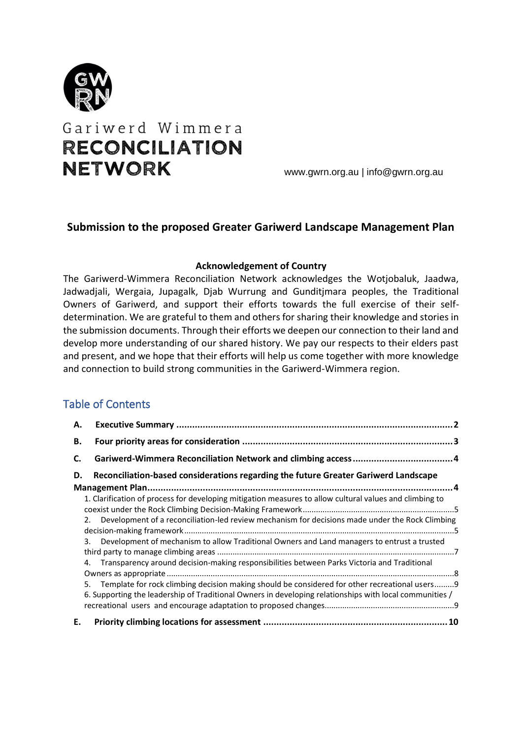

# Gariwerd Wimmera **RECONCILIATION NETWORK**

www.gwrn.org.au | info@gwrn.org.au

## **Submission to the proposed Greater Gariwerd Landscape Management Plan**

#### **Acknowledgement of Country**

The Gariwerd-Wimmera Reconciliation Network acknowledges the Wotjobaluk, Jaadwa, Jadwadjali, Wergaia, Jupagalk, Djab Wurrung and Gunditjmara peoples, the Traditional Owners of Gariwerd, and support their efforts towards the full exercise of their selfdetermination. We are grateful to them and others for sharing their knowledge and stories in the submission documents. Through their efforts we deepen our connection to their land and develop more understanding of our shared history. We pay our respects to their elders past and present, and we hope that their efforts will help us come together with more knowledge and connection to build strong communities in the Gariwerd-Wimmera region.

# Table of Contents

| А. |                                                                                                                                                                                                              | $\overline{\mathbf{z}}$ |
|----|--------------------------------------------------------------------------------------------------------------------------------------------------------------------------------------------------------------|-------------------------|
| В. |                                                                                                                                                                                                              |                         |
| C. |                                                                                                                                                                                                              |                         |
| D. | Reconciliation-based considerations regarding the future Greater Gariwerd Landscape                                                                                                                          |                         |
|    | 1. Clarification of process for developing mitigation measures to allow cultural values and climbing to                                                                                                      |                         |
|    | Development of a reconciliation-led review mechanism for decisions made under the Rock Climbing<br>2.                                                                                                        |                         |
|    | 3. Development of mechanism to allow Traditional Owners and Land managers to entrust a trusted                                                                                                               |                         |
|    | 4. Transparency around decision-making responsibilities between Parks Victoria and Traditional                                                                                                               |                         |
|    | 5. Template for rock climbing decision making should be considered for other recreational users 9<br>6. Supporting the leadership of Traditional Owners in developing relationships with local communities / |                         |
| Ε. |                                                                                                                                                                                                              |                         |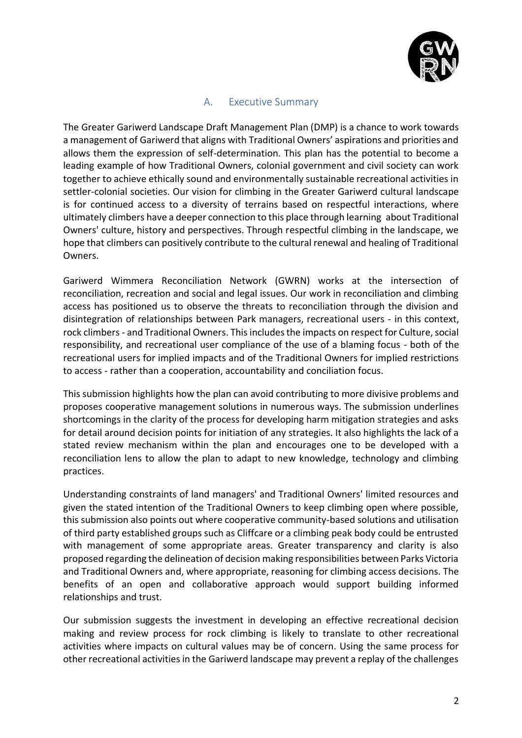

## A. Executive Summary

<span id="page-1-0"></span>The Greater Gariwerd Landscape Draft Management Plan (DMP) is a chance to work towards a management of Gariwerd that aligns with Traditional Owners' aspirations and priorities and allows them the expression of self-determination. This plan has the potential to become a leading example of how Traditional Owners, colonial government and civil society can work together to achieve ethically sound and environmentally sustainable recreational activities in settler-colonial societies. Our vision for climbing in the Greater Gariwerd cultural landscape is for continued access to a diversity of terrains based on respectful interactions, where ultimately climbers have a deeper connection to this place through learning about Traditional Owners' culture, history and perspectives. Through respectful climbing in the landscape, we hope that climbers can positively contribute to the cultural renewal and healing of Traditional **Owners** 

Gariwerd Wimmera Reconciliation Network (GWRN) works at the intersection of reconciliation, recreation and social and legal issues. Our work in reconciliation and climbing access has positioned us to observe the threats to reconciliation through the division and disintegration of relationships between Park managers, recreational users - in this context, rock climbers - and Traditional Owners. This includes the impacts on respect for Culture, social responsibility, and recreational user compliance of the use of a blaming focus - both of the recreational users for implied impacts and of the Traditional Owners for implied restrictions to access - rather than a cooperation, accountability and conciliation focus.

This submission highlights how the plan can avoid contributing to more divisive problems and proposes cooperative management solutions in numerous ways. The submission underlines shortcomings in the clarity of the process for developing harm mitigation strategies and asks for detail around decision points for initiation of any strategies. It also highlights the lack of a stated review mechanism within the plan and encourages one to be developed with a reconciliation lens to allow the plan to adapt to new knowledge, technology and climbing practices.

Understanding constraints of land managers' and Traditional Owners' limited resources and given the stated intention of the Traditional Owners to keep climbing open where possible, this submission also points out where cooperative community-based solutions and utilisation of third party established groups such as Cliffcare or a climbing peak body could be entrusted with management of some appropriate areas. Greater transparency and clarity is also proposed regarding the delineation of decision making responsibilities between Parks Victoria and Traditional Owners and, where appropriate, reasoning for climbing access decisions. The benefits of an open and collaborative approach would support building informed relationships and trust.

Our submission suggests the investment in developing an effective recreational decision making and review process for rock climbing is likely to translate to other recreational activities where impacts on cultural values may be of concern. Using the same process for other recreational activities in the Gariwerd landscape may prevent a replay of the challenges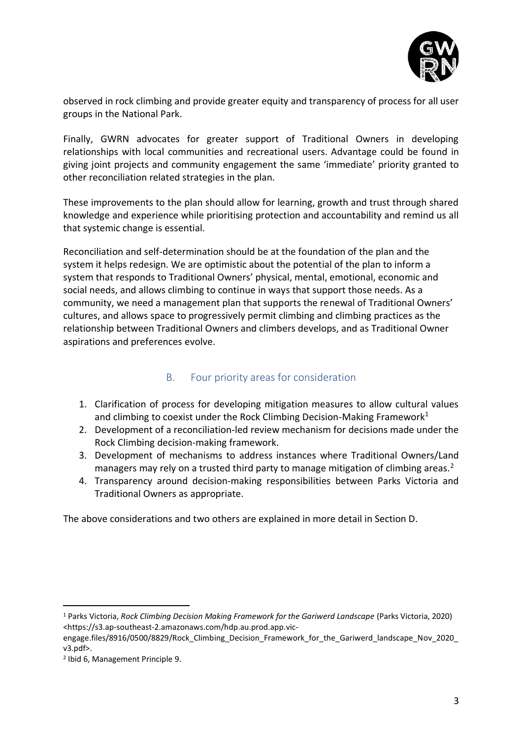

observed in rock climbing and provide greater equity and transparency of process for all user groups in the National Park.

Finally, GWRN advocates for greater support of Traditional Owners in developing relationships with local communities and recreational users. Advantage could be found in giving joint projects and community engagement the same 'immediate' priority granted to other reconciliation related strategies in the plan.

These improvements to the plan should allow for learning, growth and trust through shared knowledge and experience while prioritising protection and accountability and remind us all that systemic change is essential.

Reconciliation and self-determination should be at the foundation of the plan and the system it helps redesign. We are optimistic about the potential of the plan to inform a system that responds to Traditional Owners' physical, mental, emotional, economic and social needs, and allows climbing to continue in ways that support those needs. As a community, we need a management plan that supports the renewal of Traditional Owners' cultures, and allows space to progressively permit climbing and climbing practices as the relationship between Traditional Owners and climbers develops, and as Traditional Owner aspirations and preferences evolve.

# B. Four priority areas for consideration

- <span id="page-2-0"></span>1. Clarification of process for developing mitigation measures to allow cultural values and climbing to coexist under the Rock Climbing Decision-Making Framework<sup>1</sup>
- 2. Development of a reconciliation-led review mechanism for decisions made under the Rock Climbing decision-making framework.
- 3. Development of mechanisms to address instances where Traditional Owners/Land managers may rely on a trusted third party to manage mitigation of climbing areas.<sup>2</sup>
- 4. Transparency around decision-making responsibilities between Parks Victoria and Traditional Owners as appropriate.

The above considerations and two others are explained in more detail in Section D.

<sup>1</sup> Parks Victoria, *Rock Climbing Decision Making Framework for the Gariwerd Landscape* (Parks Victoria, 2020) <https://s3.ap-southeast-2.amazonaws.com/hdp.au.prod.app.vic-

engage.files/8916/0500/8829/Rock Climbing Decision Framework for the Gariwerd landscape Nov 2020 v3.pdf>.

<sup>2</sup> Ibid 6, Management Principle 9.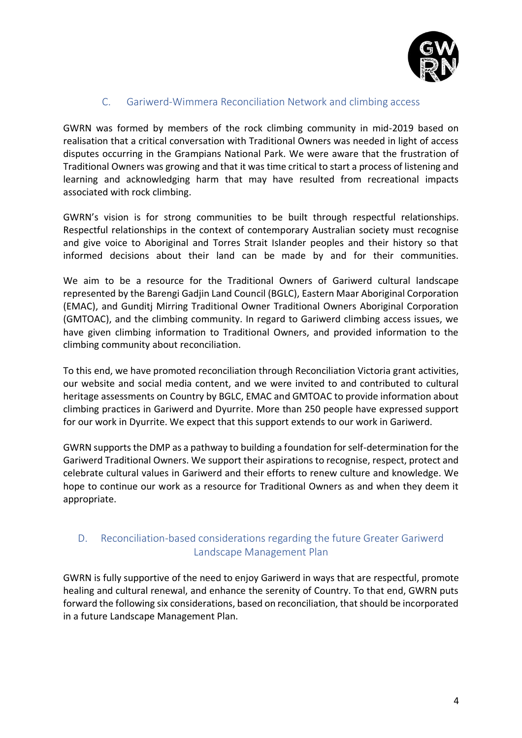

# C. Gariwerd-Wimmera Reconciliation Network and climbing access

<span id="page-3-0"></span>GWRN was formed by members of the rock climbing community in mid-2019 based on realisation that a critical conversation with Traditional Owners was needed in light of access disputes occurring in the Grampians National Park. We were aware that the frustration of Traditional Owners was growing and that it was time critical to start a process of listening and learning and acknowledging harm that may have resulted from recreational impacts associated with rock climbing.

GWRN's vision is for strong communities to be built through respectful relationships. Respectful relationships in the context of contemporary Australian society must recognise and give voice to Aboriginal and Torres Strait Islander peoples and their history so that informed decisions about their land can be made by and for their communities.

We aim to be a resource for the Traditional Owners of Gariwerd cultural landscape represented by the Barengi Gadjin Land Council (BGLC), Eastern Maar Aboriginal Corporation (EMAC), and Gunditj Mirring Traditional Owner Traditional Owners Aboriginal Corporation (GMTOAC), and the climbing community. In regard to Gariwerd climbing access issues, we have given climbing information to Traditional Owners, and provided information to the climbing community about reconciliation.

To this end, we have promoted reconciliation through Reconciliation Victoria grant activities, our website and social media content, and we were invited to and contributed to cultural heritage assessments on Country by BGLC, EMAC and GMTOAC to provide information about climbing practices in Gariwerd and Dyurrite. More than 250 people have expressed support for our work in Dyurrite. We expect that this support extends to our work in Gariwerd.

GWRN supports the DMP as a pathway to building a foundation for self-determination for the Gariwerd Traditional Owners. We support their aspirations to recognise, respect, protect and celebrate cultural values in Gariwerd and their efforts to renew culture and knowledge. We hope to continue our work as a resource for Traditional Owners as and when they deem it appropriate.

# <span id="page-3-1"></span>D. Reconciliation-based considerations regarding the future Greater Gariwerd Landscape Management Plan

GWRN is fully supportive of the need to enjoy Gariwerd in ways that are respectful, promote healing and cultural renewal, and enhance the serenity of Country. To that end, GWRN puts forward the following six considerations, based on reconciliation, that should be incorporated in a future Landscape Management Plan.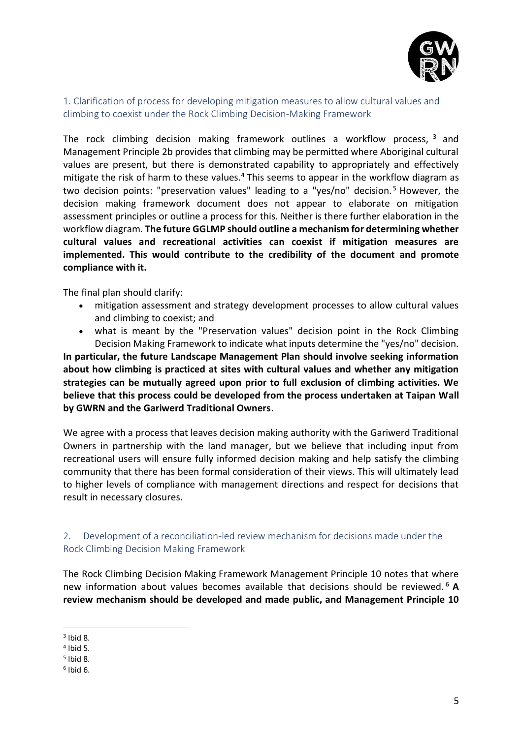

<span id="page-4-0"></span>1. Clarification of process for developing mitigation measures to allow cultural values and climbing to coexist under the Rock Climbing Decision-Making Framework

The rock climbing decision making framework outlines a workflow process, <sup>3</sup> and Management Principle 2b provides that climbing may be permitted where Aboriginal cultural values are present, but there is demonstrated capability to appropriately and effectively mitigate the risk of harm to these values.<sup>4</sup> This seems to appear in the workflow diagram as two decision points: "preservation values" leading to a "yes/no" decision. <sup>5</sup> However, the decision making framework document does not appear to elaborate on mitigation assessment principles or outline a process for this. Neither is there further elaboration in the workflow diagram. **The future GGLMP should outline a mechanism for determining whether cultural values and recreational activities can coexist if mitigation measures are implemented. This would contribute to the credibility of the document and promote compliance with it.**

The final plan should clarify:

- mitigation assessment and strategy development processes to allow cultural values and climbing to coexist; and
- what is meant by the "Preservation values" decision point in the Rock Climbing Decision Making Framework to indicate what inputs determine the "yes/no" decision.

**In particular, the future Landscape Management Plan should involve seeking information about how climbing is practiced at sites with cultural values and whether any mitigation strategies can be mutually agreed upon prior to full exclusion of climbing activities. We believe that this process could be developed from the process undertaken at Taipan Wall by GWRN and the Gariwerd Traditional Owners**.

We agree with a process that leaves decision making authority with the Gariwerd Traditional Owners in partnership with the land manager, but we believe that including input from recreational users will ensure fully informed decision making and help satisfy the climbing community that there has been formal consideration of their views. This will ultimately lead to higher levels of compliance with management directions and respect for decisions that result in necessary closures.

#### <span id="page-4-1"></span>2. Development of a reconciliation-led review mechanism for decisions made under the Rock Climbing Decision Making Framework

The Rock Climbing Decision Making Framework Management Principle 10 notes that where new information about values becomes available that decisions should be reviewed. <sup>6</sup> **A review mechanism should be developed and made public, and Management Principle 10** 

 $3$  Ibid 8.

<sup>4</sup> Ibid 5.

<sup>5</sup> Ibid 8.

<sup>6</sup> Ibid 6.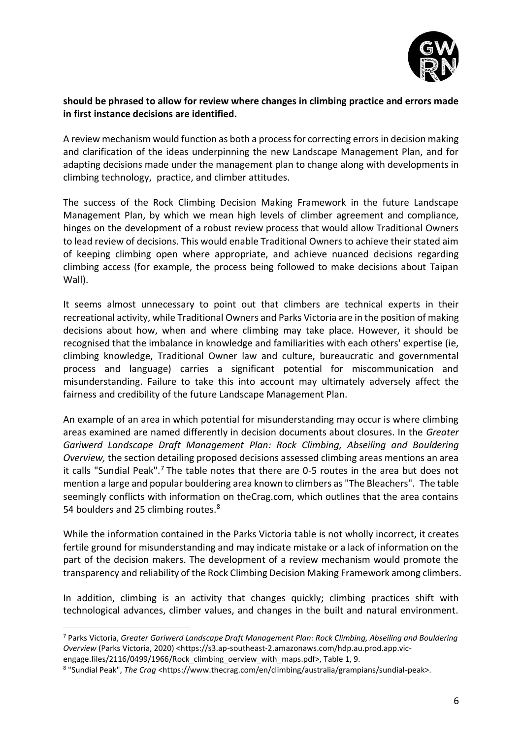

#### **should be phrased to allow for review where changes in climbing practice and errors made in first instance decisions are identified.**

A review mechanism would function as both a process for correcting errors in decision making and clarification of the ideas underpinning the new Landscape Management Plan, and for adapting decisions made under the management plan to change along with developments in climbing technology, practice, and climber attitudes.

The success of the Rock Climbing Decision Making Framework in the future Landscape Management Plan, by which we mean high levels of climber agreement and compliance, hinges on the development of a robust review process that would allow Traditional Owners to lead review of decisions. This would enable Traditional Owners to achieve their stated aim of keeping climbing open where appropriate, and achieve nuanced decisions regarding climbing access (for example, the process being followed to make decisions about Taipan Wall).

It seems almost unnecessary to point out that climbers are technical experts in their recreational activity, while Traditional Owners and Parks Victoria are in the position of making decisions about how, when and where climbing may take place. However, it should be recognised that the imbalance in knowledge and familiarities with each others' expertise (ie, climbing knowledge, Traditional Owner law and culture, bureaucratic and governmental process and language) carries a significant potential for miscommunication and misunderstanding. Failure to take this into account may ultimately adversely affect the fairness and credibility of the future Landscape Management Plan.

An example of an area in which potential for misunderstanding may occur is where climbing areas examined are named differently in decision documents about closures. In the *Greater Gariwerd Landscape Draft Management Plan: Rock Climbing, Abseiling and Bouldering Overview,* the section detailing proposed decisions assessed climbing areas mentions an area it calls "Sundial Peak".<sup>7</sup> The table notes that there are 0-5 routes in the area but does not mention a large and popular bouldering area known to climbers as "The Bleachers". The table seemingly conflicts with information on theCrag.com, which outlines that the area contains 54 boulders and 25 climbing routes.<sup>8</sup>

While the information contained in the Parks Victoria table is not wholly incorrect, it creates fertile ground for misunderstanding and may indicate mistake or a lack of information on the part of the decision makers. The development of a review mechanism would promote the transparency and reliability of the Rock Climbing Decision Making Framework among climbers.

In addition, climbing is an activity that changes quickly; climbing practices shift with technological advances, climber values, and changes in the built and natural environment.

<sup>7</sup> Parks Victoria, *Greater Gariwerd Landscape Draft Management Plan: Rock Climbing, Abseiling and Bouldering Overview* (Parks Victoria, 2020) <https://s3.ap-southeast-2.amazonaws.com/hdp.au.prod.app.vic-

engage.files/2116/0499/1966/Rock\_climbing\_oerview\_with\_maps.pdf>, Table 1, 9.

<sup>8</sup> "Sundial Peak", *The Crag* <https://www.thecrag.com/en/climbing/australia/grampians/sundial-peak>.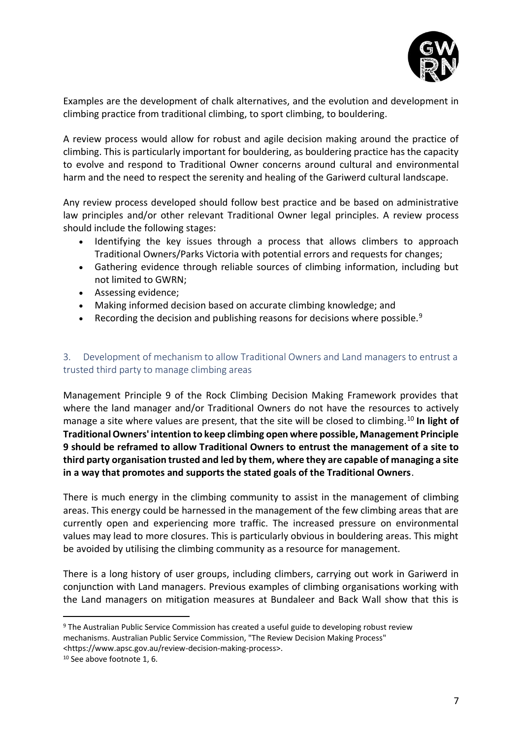

Examples are the development of chalk alternatives, and the evolution and development in climbing practice from traditional climbing, to sport climbing, to bouldering.

A review process would allow for robust and agile decision making around the practice of climbing. This is particularly important for bouldering, as bouldering practice has the capacity to evolve and respond to Traditional Owner concerns around cultural and environmental harm and the need to respect the serenity and healing of the Gariwerd cultural landscape.

Any review process developed should follow best practice and be based on administrative law principles and/or other relevant Traditional Owner legal principles. A review process should include the following stages:

- Identifying the key issues through a process that allows climbers to approach Traditional Owners/Parks Victoria with potential errors and requests for changes;
- Gathering evidence through reliable sources of climbing information, including but not limited to GWRN;
- Assessing evidence;
- Making informed decision based on accurate climbing knowledge; and
- Recording the decision and publishing reasons for decisions where possible.<sup>9</sup>

#### <span id="page-6-0"></span>3. Development of mechanism to allow Traditional Owners and Land managers to entrust a trusted third party to manage climbing areas

Management Principle 9 of the Rock Climbing Decision Making Framework provides that where the land manager and/or Traditional Owners do not have the resources to actively manage a site where values are present, that the site will be closed to climbing.<sup>10</sup> **In light of Traditional Owners' intention to keep climbing open where possible, Management Principle 9 should be reframed to allow Traditional Owners to entrust the management of a site to third party organisation trusted and led by them, where they are capable of managing a site in a way that promotes and supports the stated goals of the Traditional Owners**.

There is much energy in the climbing community to assist in the management of climbing areas. This energy could be harnessed in the management of the few climbing areas that are currently open and experiencing more traffic. The increased pressure on environmental values may lead to more closures. This is particularly obvious in bouldering areas. This might be avoided by utilising the climbing community as a resource for management.

There is a long history of user groups, including climbers, carrying out work in Gariwerd in conjunction with Land managers. Previous examples of climbing organisations working with the Land managers on mitigation measures at Bundaleer and Back Wall show that this is

<sup>9</sup> The Australian Public Service Commission has created a useful guide to developing robust review mechanisms. Australian Public Service Commission, "The Review Decision Making Process" <https://www.apsc.gov.au/review-decision-making-process>.

<sup>10</sup> See above footnote 1, 6.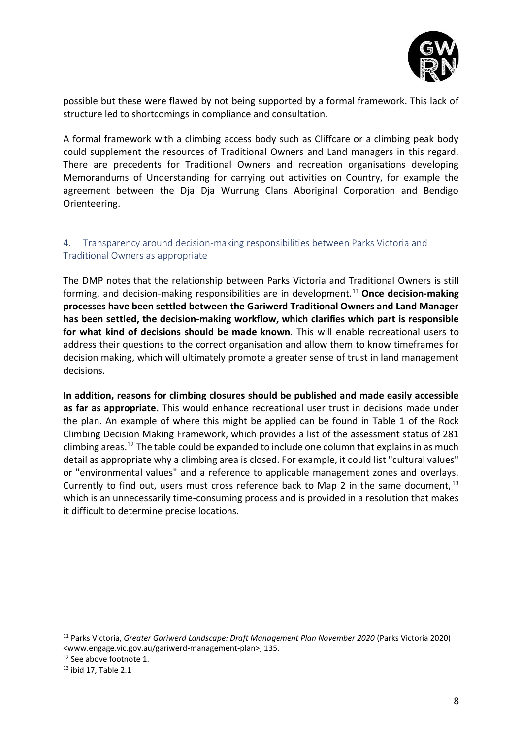

possible but these were flawed by not being supported by a formal framework. This lack of structure led to shortcomings in compliance and consultation.

A formal framework with a climbing access body such as Cliffcare or a climbing peak body could supplement the resources of Traditional Owners and Land managers in this regard. There are precedents for Traditional Owners and recreation organisations developing Memorandums of Understanding for carrying out activities on Country, for example the agreement between the Dja Dja Wurrung Clans Aboriginal Corporation and Bendigo Orienteering.

### <span id="page-7-0"></span>4. Transparency around decision-making responsibilities between Parks Victoria and Traditional Owners as appropriate

The DMP notes that the relationship between Parks Victoria and Traditional Owners is still forming, and decision-making responsibilities are in development.<sup>11</sup> **Once decision-making processes have been settled between the Gariwerd Traditional Owners and Land Manager has been settled, the decision-making workflow, which clarifies which part is responsible for what kind of decisions should be made known**. This will enable recreational users to address their questions to the correct organisation and allow them to know timeframes for decision making, which will ultimately promote a greater sense of trust in land management decisions.

**In addition, reasons for climbing closures should be published and made easily accessible as far as appropriate.** This would enhance recreational user trust in decisions made under the plan. An example of where this might be applied can be found in Table 1 of the Rock Climbing Decision Making Framework, which provides a list of the assessment status of 281 climbing areas.<sup>12</sup> The table could be expanded to include one column that explains in as much detail as appropriate why a climbing area is closed. For example, it could list "cultural values" or "environmental values" and a reference to applicable management zones and overlays. Currently to find out, users must cross reference back to Map 2 in the same document,  $^{13}$ which is an unnecessarily time-consuming process and is provided in a resolution that makes it difficult to determine precise locations.

<sup>11</sup> Parks Victoria, *Greater Gariwerd Landscape: Draft Management Plan November 2020* (Parks Victoria 2020) <www.engage.vic.gov.au/gariwerd-management-plan>, 135.

<sup>&</sup>lt;sup>12</sup> See above footnote 1.

<sup>13</sup> ibid 17, Table 2.1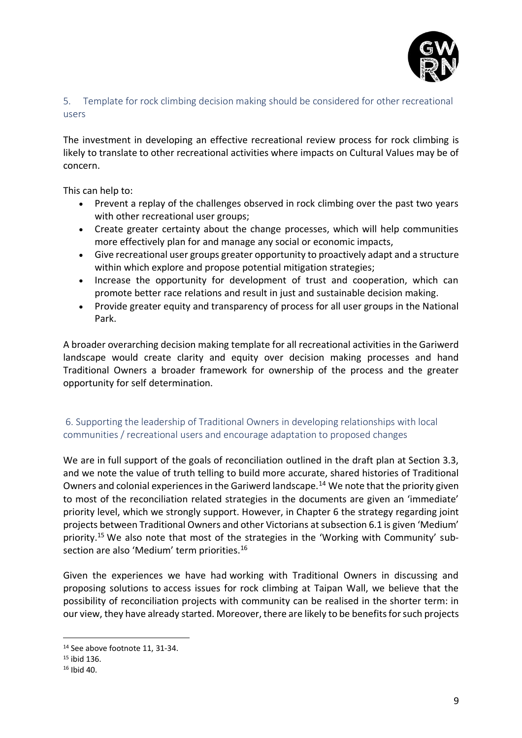

## <span id="page-8-0"></span>5. Template for rock climbing decision making should be considered for other recreational users

The investment in developing an effective recreational review process for rock climbing is likely to translate to other recreational activities where impacts on Cultural Values may be of concern.

This can help to:

- Prevent a replay of the challenges observed in rock climbing over the past two years with other recreational user groups;
- Create greater certainty about the change processes, which will help communities more effectively plan for and manage any social or economic impacts,
- Give recreational user groups greater opportunity to proactively adapt and a structure within which explore and propose potential mitigation strategies;
- Increase the opportunity for development of trust and cooperation, which can promote better race relations and result in just and sustainable decision making.
- Provide greater equity and transparency of process for all user groups in the National Park.

A broader overarching decision making template for all recreational activities in the Gariwerd landscape would create clarity and equity over decision making processes and hand Traditional Owners a broader framework for ownership of the process and the greater opportunity for self determination.

# <span id="page-8-1"></span>6. Supporting the leadership of Traditional Owners in developing relationships with local communities / recreational users and encourage adaptation to proposed changes

We are in full support of the goals of reconciliation outlined in the draft plan at Section 3.3, and we note the value of truth telling to build more accurate, shared histories of Traditional Owners and colonial experiences in the Gariwerd landscape.<sup>14</sup> We note that the priority given to most of the reconciliation related strategies in the documents are given an 'immediate' priority level, which we strongly support. However, in Chapter 6 the strategy regarding joint projects between Traditional Owners and other Victorians at subsection 6.1 is given 'Medium' priority.<sup>15</sup> We also note that most of the strategies in the 'Working with Community' subsection are also 'Medium' term priorities.<sup>16</sup>

Given the experiences we have had working with Traditional Owners in discussing and proposing solutions to access issues for rock climbing at Taipan Wall, we believe that the possibility of reconciliation projects with community can be realised in the shorter term: in our view, they have already started. Moreover, there are likely to be benefits for such projects

<sup>14</sup> See above footnote 11, 31-34.

<sup>15</sup> ibid 136.

 $16$  Ibid 40.